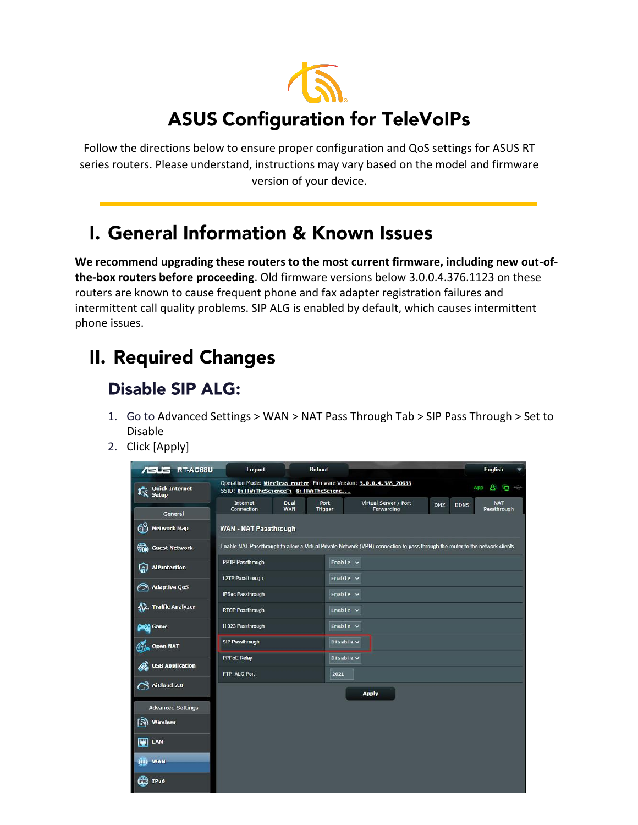

Follow the directions below to ensure proper configuration and QoS settings for ASUS RT series routers. Please understand, instructions may vary based on the model and firmware version of your device.

## **L. General Information & Known Issues**

**We recommend upgrading these routers to the most current firmware, including new out-ofthe-box routers before proceeding**. Old firmware versions below 3.0.0.4.376.1123 on these routers are known to cause frequent phone and fax adapter registration failures and intermittent call quality problems. SIP ALG is enabled by default, which causes intermittent phone issues.

# **II. Required Changes**

#### **Disable SIP ALG:**

- 1. Go to Advanced Settings > WAN > NAT Pass Through Tab > SIP Pass Through > Set to Disable
- 2. Click [Apply]

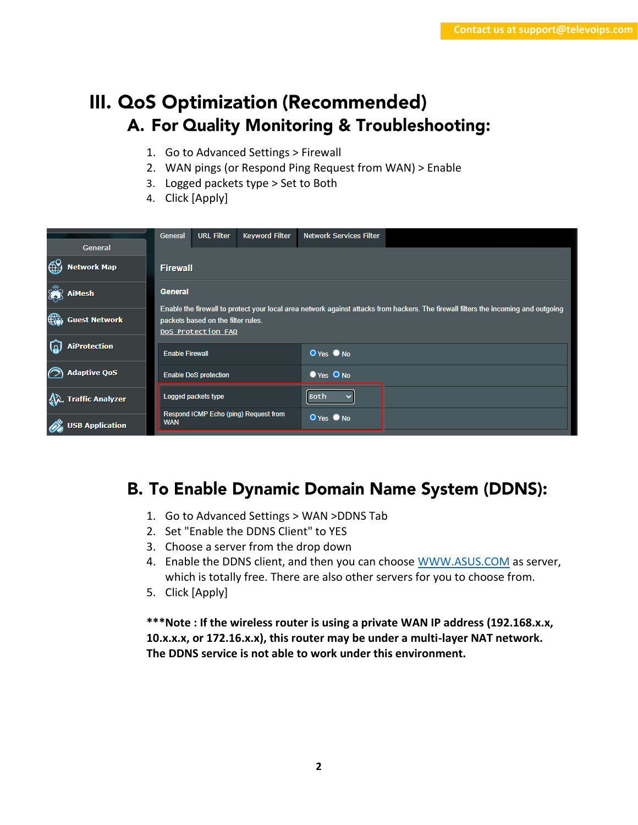### III. QoS Optimization (Recommended) A. For Quality Monitoring & Troubleshooting:

- 1. Go to Advanced Settings > Firewall
- 2. WAN pings (or Respond Ping Request from WAN) > Enable
- 3. Logged packets type > Set to Both
- 4. Click [Apply]

| General                             | <b>Keyword Filter</b><br><b>URL Filter</b><br>General    | <b>Network Services Filter</b>                                                                                                      |  |  |  |  |  |  |  |  |
|-------------------------------------|----------------------------------------------------------|-------------------------------------------------------------------------------------------------------------------------------------|--|--|--|--|--|--|--|--|
| <b>Network Map</b>                  | <b>Firewall</b>                                          |                                                                                                                                     |  |  |  |  |  |  |  |  |
| <b>AiMesh</b>                       | <b>General</b>                                           |                                                                                                                                     |  |  |  |  |  |  |  |  |
| $\bigoplus$<br><b>Guest Network</b> | packets based on the filter rules.<br>DoS Protection FAQ | Enable the firewall to protect your local area network against attacks from hackers. The firewall filters the incoming and outgoing |  |  |  |  |  |  |  |  |
| <b>AiProtection</b>                 | <b>Enable Firewall</b>                                   | O Yes O No                                                                                                                          |  |  |  |  |  |  |  |  |
| <b>Adaptive QoS</b>                 | <b>Enable DoS protection</b>                             | <b>O</b> Yes O No                                                                                                                   |  |  |  |  |  |  |  |  |
| <b>Traffic Analyzer</b>             | Logged packets type                                      | <b>Both</b>                                                                                                                         |  |  |  |  |  |  |  |  |
| <b>USB Application</b>              | Respond ICMP Echo (ping) Request from<br><b>WAN</b>      | O Yes O No                                                                                                                          |  |  |  |  |  |  |  |  |

#### **B. To Enable Dynamic Domain Name System (DDNS):**

- 1. Go to Advanced Settings > WAN >DDNS Tab
- 2. Set "Enable the DDNS Client" to YES
- 3. Choose a server from the drop down
- 4. Enable the DDNS client, and then you can choose [WWW.ASUS.COM](http://www.asus.com/) as server, which is totally free. There are also other servers for you to choose from.
- 5. Click [Apply]

**\*\*\*Note : If the wireless router is using a private WAN IP address (192.168.x.x, 10.x.x.x, or 172.16.x.x), this router may be under a multi-layer NAT network. The DDNS service is not able to work under this environment.**